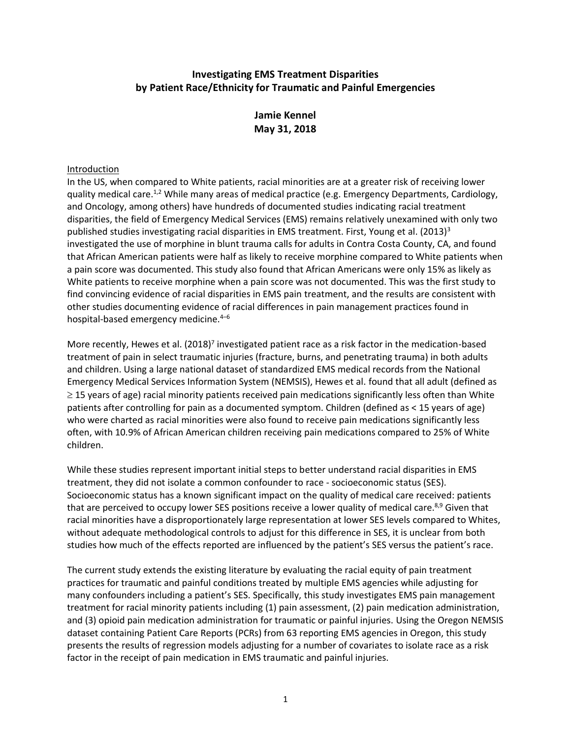## **Investigating EMS Treatment Disparities by Patient Race/Ethnicity for Traumatic and Painful Emergencies**

# **Jamie Kennel May 31, 2018**

## Introduction

In the US, when compared to White patients, racial minorities are at a greater risk of receiving lower quality medical care.<sup>1,2</sup> While many areas of medical practice (e.g. Emergency Departments, Cardiology, and Oncology, among others) have hundreds of documented studies indicating racial treatment disparities, the field of Emergency Medical Services (EMS) remains relatively unexamined with only two published studies investigating racial disparities in EMS treatment. First, Young et al. (2013)<sup>3</sup> investigated the use of morphine in blunt trauma calls for adults in Contra Costa County, CA, and found that African American patients were half as likely to receive morphine compared to White patients when a pain score was documented. This study also found that African Americans were only 15% as likely as White patients to receive morphine when a pain score was not documented. This was the first study to find convincing evidence of racial disparities in EMS pain treatment, and the results are consistent with other studies documenting evidence of racial differences in pain management practices found in hospital-based emergency medicine.<sup>4</sup>–<sup>6</sup>

More recently, Hewes et al. (2018)<sup>7</sup> investigated patient race as a risk factor in the medication-based treatment of pain in select traumatic injuries (fracture, burns, and penetrating trauma) in both adults and children. Using a large national dataset of standardized EMS medical records from the National Emergency Medical Services Information System (NEMSIS), Hewes et al. found that all adult (defined as  $\geq$  15 years of age) racial minority patients received pain medications significantly less often than White patients after controlling for pain as a documented symptom. Children (defined as < 15 years of age) who were charted as racial minorities were also found to receive pain medications significantly less often, with 10.9% of African American children receiving pain medications compared to 25% of White children.

While these studies represent important initial steps to better understand racial disparities in EMS treatment, they did not isolate a common confounder to race - socioeconomic status (SES). Socioeconomic status has a known significant impact on the quality of medical care received: patients that are perceived to occupy lower SES positions receive a lower quality of medical care.<sup>8,9</sup> Given that racial minorities have a disproportionately large representation at lower SES levels compared to Whites, without adequate methodological controls to adjust for this difference in SES, it is unclear from both studies how much of the effects reported are influenced by the patient's SES versus the patient's race.

The current study extends the existing literature by evaluating the racial equity of pain treatment practices for traumatic and painful conditions treated by multiple EMS agencies while adjusting for many confounders including a patient's SES. Specifically, this study investigates EMS pain management treatment for racial minority patients including (1) pain assessment, (2) pain medication administration, and (3) opioid pain medication administration for traumatic or painful injuries. Using the Oregon NEMSIS dataset containing Patient Care Reports (PCRs) from 63 reporting EMS agencies in Oregon, this study presents the results of regression models adjusting for a number of covariates to isolate race as a risk factor in the receipt of pain medication in EMS traumatic and painful injuries.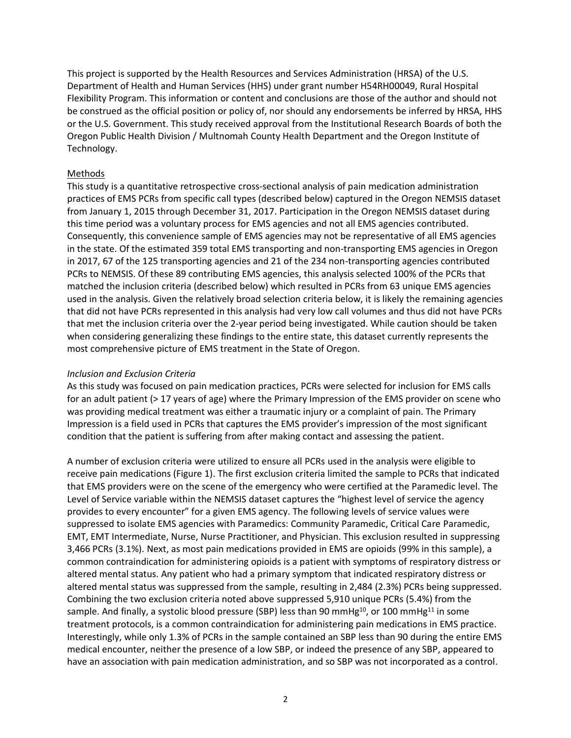This project is supported by the Health Resources and Services Administration (HRSA) of the U.S. Department of Health and Human Services (HHS) under grant number H54RH00049, Rural Hospital Flexibility Program. This information or content and conclusions are those of the author and should not be construed as the official position or policy of, nor should any endorsements be inferred by HRSA, HHS or the U.S. Government. This study received approval from the Institutional Research Boards of both the Oregon Public Health Division / Multnomah County Health Department and the Oregon Institute of Technology.

## Methods

This study is a quantitative retrospective cross-sectional analysis of pain medication administration practices of EMS PCRs from specific call types (described below) captured in the Oregon NEMSIS dataset from January 1, 2015 through December 31, 2017. Participation in the Oregon NEMSIS dataset during this time period was a voluntary process for EMS agencies and not all EMS agencies contributed. Consequently, this convenience sample of EMS agencies may not be representative of all EMS agencies in the state. Of the estimated 359 total EMS transporting and non-transporting EMS agencies in Oregon in 2017, 67 of the 125 transporting agencies and 21 of the 234 non-transporting agencies contributed PCRs to NEMSIS. Of these 89 contributing EMS agencies, this analysis selected 100% of the PCRs that matched the inclusion criteria (described below) which resulted in PCRs from 63 unique EMS agencies used in the analysis. Given the relatively broad selection criteria below, it is likely the remaining agencies that did not have PCRs represented in this analysis had very low call volumes and thus did not have PCRs that met the inclusion criteria over the 2-year period being investigated. While caution should be taken when considering generalizing these findings to the entire state, this dataset currently represents the most comprehensive picture of EMS treatment in the State of Oregon.

## *Inclusion and Exclusion Criteria*

As this study was focused on pain medication practices, PCRs were selected for inclusion for EMS calls for an adult patient (> 17 years of age) where the Primary Impression of the EMS provider on scene who was providing medical treatment was either a traumatic injury or a complaint of pain. The Primary Impression is a field used in PCRs that captures the EMS provider's impression of the most significant condition that the patient is suffering from after making contact and assessing the patient.

A number of exclusion criteria were utilized to ensure all PCRs used in the analysis were eligible to receive pain medications (Figure 1). The first exclusion criteria limited the sample to PCRs that indicated that EMS providers were on the scene of the emergency who were certified at the Paramedic level. The Level of Service variable within the NEMSIS dataset captures the "highest level of service the agency provides to every encounter" for a given EMS agency. The following levels of service values were suppressed to isolate EMS agencies with Paramedics: Community Paramedic, Critical Care Paramedic, EMT, EMT Intermediate, Nurse, Nurse Practitioner, and Physician. This exclusion resulted in suppressing 3,466 PCRs (3.1%). Next, as most pain medications provided in EMS are opioids (99% in this sample), a common contraindication for administering opioids is a patient with symptoms of respiratory distress or altered mental status. Any patient who had a primary symptom that indicated respiratory distress or altered mental status was suppressed from the sample, resulting in 2,484 (2.3%) PCRs being suppressed. Combining the two exclusion criteria noted above suppressed 5,910 unique PCRs (5.4%) from the sample. And finally, a systolic blood pressure (SBP) less than 90 mmHg<sup>10</sup>, or 100 mmHg<sup>11</sup> in some treatment protocols, is a common contraindication for administering pain medications in EMS practice. Interestingly, while only 1.3% of PCRs in the sample contained an SBP less than 90 during the entire EMS medical encounter, neither the presence of a low SBP, or indeed the presence of any SBP, appeared to have an association with pain medication administration, and so SBP was not incorporated as a control.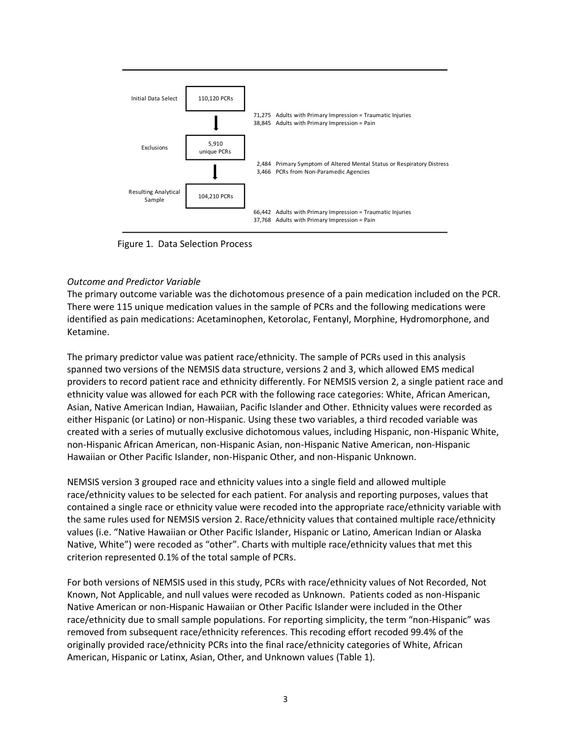

Figure 1. Data Selection Process

## *Outcome and Predictor Variable*

The primary outcome variable was the dichotomous presence of a pain medication included on the PCR. There were 115 unique medication values in the sample of PCRs and the following medications were identified as pain medications: Acetaminophen, Ketorolac, Fentanyl, Morphine, Hydromorphone, and Ketamine.

The primary predictor value was patient race/ethnicity. The sample of PCRs used in this analysis spanned two versions of the NEMSIS data structure, versions 2 and 3, which allowed EMS medical providers to record patient race and ethnicity differently. For NEMSIS version 2, a single patient race and ethnicity value was allowed for each PCR with the following race categories: White, African American, Asian, Native American Indian, Hawaiian, Pacific Islander and Other. Ethnicity values were recorded as either Hispanic (or Latino) or non-Hispanic. Using these two variables, a third recoded variable was created with a series of mutually exclusive dichotomous values, including Hispanic, non-Hispanic White, non-Hispanic African American, non-Hispanic Asian, non-Hispanic Native American, non-Hispanic Hawaiian or Other Pacific Islander, non-Hispanic Other, and non-Hispanic Unknown.

NEMSIS version 3 grouped race and ethnicity values into a single field and allowed multiple race/ethnicity values to be selected for each patient. For analysis and reporting purposes, values that contained a single race or ethnicity value were recoded into the appropriate race/ethnicity variable with the same rules used for NEMSIS version 2. Race/ethnicity values that contained multiple race/ethnicity values (i.e. "Native Hawaiian or Other Pacific Islander, Hispanic or Latino, American Indian or Alaska Native, White") were recoded as "other". Charts with multiple race/ethnicity values that met this criterion represented 0.1% of the total sample of PCRs.

For both versions of NEMSIS used in this study, PCRs with race/ethnicity values of Not Recorded, Not Known, Not Applicable, and null values were recoded as Unknown. Patients coded as non-Hispanic Native American or non-Hispanic Hawaiian or Other Pacific Islander were included in the Other race/ethnicity due to small sample populations. For reporting simplicity, the term "non-Hispanic" was removed from subsequent race/ethnicity references. This recoding effort recoded 99.4% of the originally provided race/ethnicity PCRs into the final race/ethnicity categories of White, African American, Hispanic or Latinx, Asian, Other, and Unknown values (Table 1).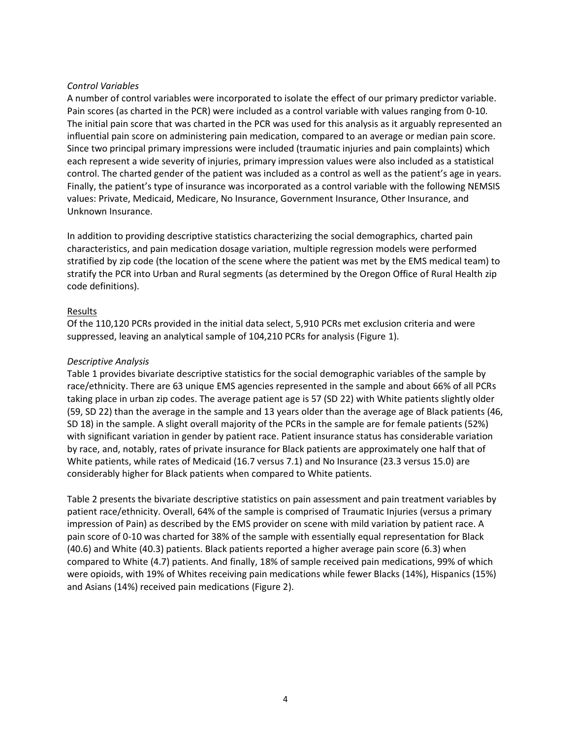## *Control Variables*

A number of control variables were incorporated to isolate the effect of our primary predictor variable. Pain scores (as charted in the PCR) were included as a control variable with values ranging from 0-10. The initial pain score that was charted in the PCR was used for this analysis as it arguably represented an influential pain score on administering pain medication, compared to an average or median pain score. Since two principal primary impressions were included (traumatic injuries and pain complaints) which each represent a wide severity of injuries, primary impression values were also included as a statistical control. The charted gender of the patient was included as a control as well as the patient's age in years. Finally, the patient's type of insurance was incorporated as a control variable with the following NEMSIS values: Private, Medicaid, Medicare, No Insurance, Government Insurance, Other Insurance, and Unknown Insurance.

In addition to providing descriptive statistics characterizing the social demographics, charted pain characteristics, and pain medication dosage variation, multiple regression models were performed stratified by zip code (the location of the scene where the patient was met by the EMS medical team) to stratify the PCR into Urban and Rural segments (as determined by the Oregon Office of Rural Health zip code definitions).

## Results

Of the 110,120 PCRs provided in the initial data select, 5,910 PCRs met exclusion criteria and were suppressed, leaving an analytical sample of 104,210 PCRs for analysis (Figure 1).

#### *Descriptive Analysis*

Table 1 provides bivariate descriptive statistics for the social demographic variables of the sample by race/ethnicity. There are 63 unique EMS agencies represented in the sample and about 66% of all PCRs taking place in urban zip codes. The average patient age is 57 (SD 22) with White patients slightly older (59, SD 22) than the average in the sample and 13 years older than the average age of Black patients (46, SD 18) in the sample. A slight overall majority of the PCRs in the sample are for female patients (52%) with significant variation in gender by patient race. Patient insurance status has considerable variation by race, and, notably, rates of private insurance for Black patients are approximately one half that of White patients, while rates of Medicaid (16.7 versus 7.1) and No Insurance (23.3 versus 15.0) are considerably higher for Black patients when compared to White patients.

Table 2 presents the bivariate descriptive statistics on pain assessment and pain treatment variables by patient race/ethnicity. Overall, 64% of the sample is comprised of Traumatic Injuries (versus a primary impression of Pain) as described by the EMS provider on scene with mild variation by patient race. A pain score of 0-10 was charted for 38% of the sample with essentially equal representation for Black (40.6) and White (40.3) patients. Black patients reported a higher average pain score (6.3) when compared to White (4.7) patients. And finally, 18% of sample received pain medications, 99% of which were opioids, with 19% of Whites receiving pain medications while fewer Blacks (14%), Hispanics (15%) and Asians (14%) received pain medications (Figure 2).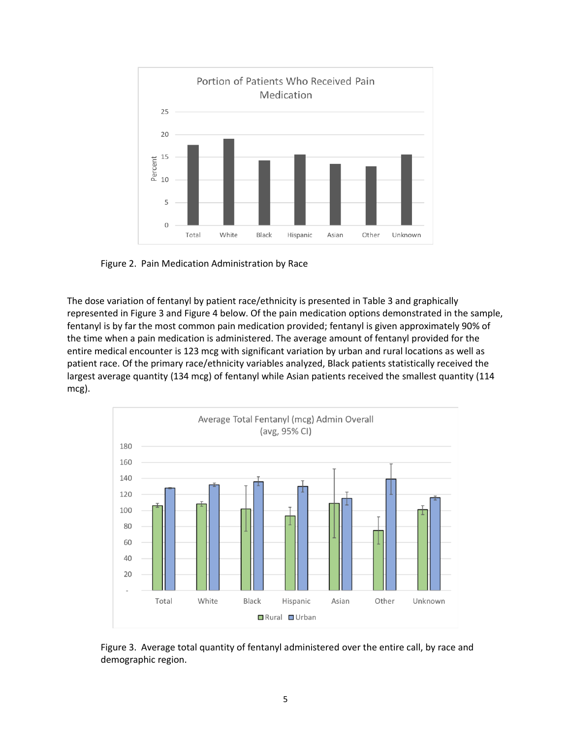

Figure 2. Pain Medication Administration by Race

The dose variation of fentanyl by patient race/ethnicity is presented in Table 3 and graphically represented in Figure 3 and Figure 4 below. Of the pain medication options demonstrated in the sample, fentanyl is by far the most common pain medication provided; fentanyl is given approximately 90% of the time when a pain medication is administered. The average amount of fentanyl provided for the entire medical encounter is 123 mcg with significant variation by urban and rural locations as well as patient race. Of the primary race/ethnicity variables analyzed, Black patients statistically received the largest average quantity (134 mcg) of fentanyl while Asian patients received the smallest quantity (114 mcg).



Figure 3. Average total quantity of fentanyl administered over the entire call, by race and demographic region.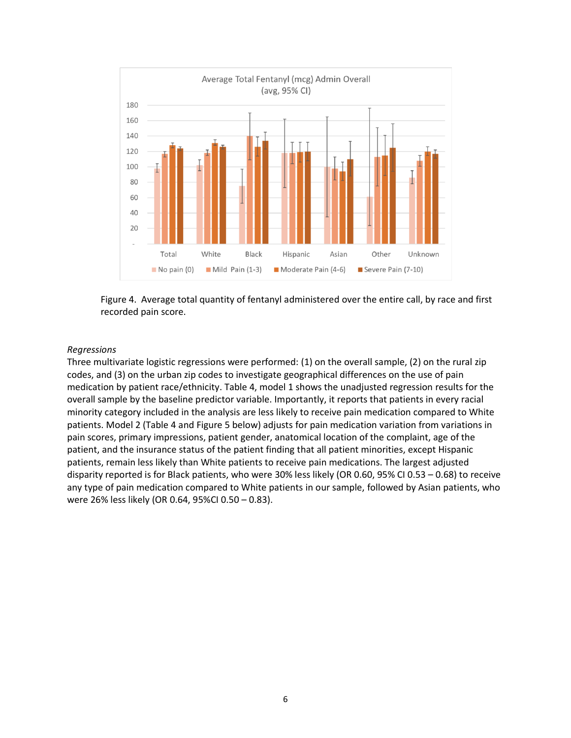

Figure 4. Average total quantity of fentanyl administered over the entire call, by race and first recorded pain score.

#### *Regressions*

Three multivariate logistic regressions were performed: (1) on the overall sample, (2) on the rural zip codes, and (3) on the urban zip codes to investigate geographical differences on the use of pain medication by patient race/ethnicity. Table 4, model 1 shows the unadjusted regression results for the overall sample by the baseline predictor variable. Importantly, it reports that patients in every racial minority category included in the analysis are less likely to receive pain medication compared to White patients. Model 2 (Table 4 and Figure 5 below) adjusts for pain medication variation from variations in pain scores, primary impressions, patient gender, anatomical location of the complaint, age of the patient, and the insurance status of the patient finding that all patient minorities, except Hispanic patients, remain less likely than White patients to receive pain medications. The largest adjusted disparity reported is for Black patients, who were 30% less likely (OR 0.60, 95% CI 0.53 – 0.68) to receive any type of pain medication compared to White patients in our sample, followed by Asian patients, who were 26% less likely (OR 0.64, 95%CI 0.50 – 0.83).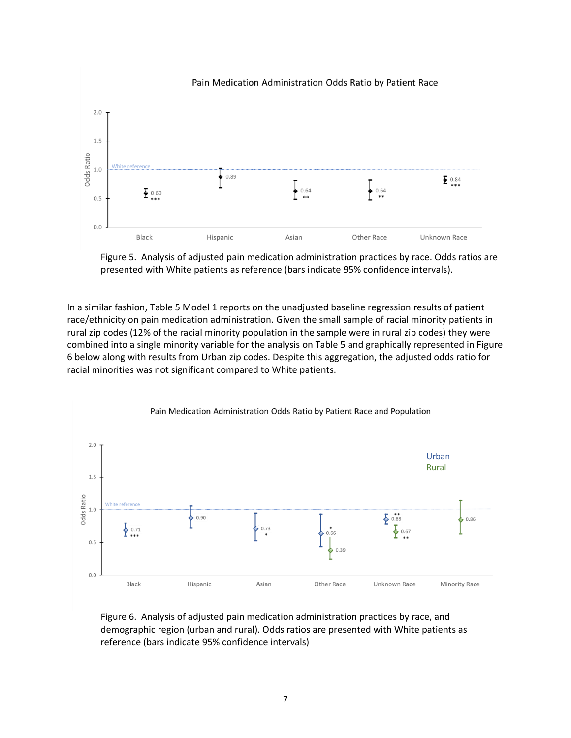

Figure 5. Analysis of adjusted pain medication administration practices by race. Odds ratios are presented with White patients as reference (bars indicate 95% confidence intervals).

In a similar fashion, Table 5 Model 1 reports on the unadjusted baseline regression results of patient race/ethnicity on pain medication administration. Given the small sample of racial minority patients in rural zip codes (12% of the racial minority population in the sample were in rural zip codes) they were combined into a single minority variable for the analysis on Table 5 and graphically represented in Figure 6 below along with results from Urban zip codes. Despite this aggregation, the adjusted odds ratio for racial minorities was not significant compared to White patients.



Figure 6. Analysis of adjusted pain medication administration practices by race, and demographic region (urban and rural). Odds ratios are presented with White patients as reference (bars indicate 95% confidence intervals)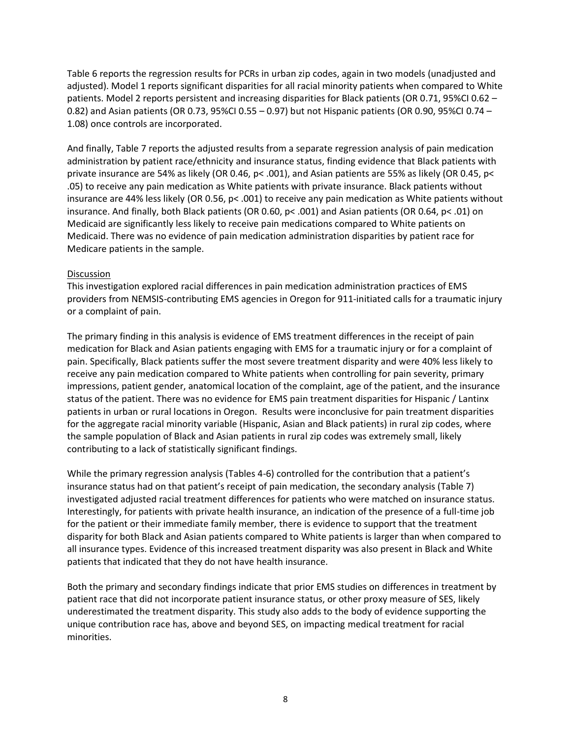Table 6 reports the regression results for PCRs in urban zip codes, again in two models (unadjusted and adjusted). Model 1 reports significant disparities for all racial minority patients when compared to White patients. Model 2 reports persistent and increasing disparities for Black patients (OR 0.71, 95%CI 0.62 – 0.82) and Asian patients (OR 0.73, 95%CI 0.55 – 0.97) but not Hispanic patients (OR 0.90, 95%CI 0.74 – 1.08) once controls are incorporated.

And finally, Table 7 reports the adjusted results from a separate regression analysis of pain medication administration by patient race/ethnicity and insurance status, finding evidence that Black patients with private insurance are 54% as likely (OR 0.46, p< .001), and Asian patients are 55% as likely (OR 0.45, p< .05) to receive any pain medication as White patients with private insurance. Black patients without insurance are 44% less likely (OR 0.56, p< .001) to receive any pain medication as White patients without insurance. And finally, both Black patients (OR 0.60, p< .001) and Asian patients (OR 0.64, p< .01) on Medicaid are significantly less likely to receive pain medications compared to White patients on Medicaid. There was no evidence of pain medication administration disparities by patient race for Medicare patients in the sample.

## Discussion

This investigation explored racial differences in pain medication administration practices of EMS providers from NEMSIS-contributing EMS agencies in Oregon for 911-initiated calls for a traumatic injury or a complaint of pain.

The primary finding in this analysis is evidence of EMS treatment differences in the receipt of pain medication for Black and Asian patients engaging with EMS for a traumatic injury or for a complaint of pain. Specifically, Black patients suffer the most severe treatment disparity and were 40% less likely to receive any pain medication compared to White patients when controlling for pain severity, primary impressions, patient gender, anatomical location of the complaint, age of the patient, and the insurance status of the patient. There was no evidence for EMS pain treatment disparities for Hispanic / Lantinx patients in urban or rural locations in Oregon. Results were inconclusive for pain treatment disparities for the aggregate racial minority variable (Hispanic, Asian and Black patients) in rural zip codes, where the sample population of Black and Asian patients in rural zip codes was extremely small, likely contributing to a lack of statistically significant findings.

While the primary regression analysis (Tables 4-6) controlled for the contribution that a patient's insurance status had on that patient's receipt of pain medication, the secondary analysis (Table 7) investigated adjusted racial treatment differences for patients who were matched on insurance status. Interestingly, for patients with private health insurance, an indication of the presence of a full-time job for the patient or their immediate family member, there is evidence to support that the treatment disparity for both Black and Asian patients compared to White patients is larger than when compared to all insurance types. Evidence of this increased treatment disparity was also present in Black and White patients that indicated that they do not have health insurance.

Both the primary and secondary findings indicate that prior EMS studies on differences in treatment by patient race that did not incorporate patient insurance status, or other proxy measure of SES, likely underestimated the treatment disparity. This study also adds to the body of evidence supporting the unique contribution race has, above and beyond SES, on impacting medical treatment for racial minorities.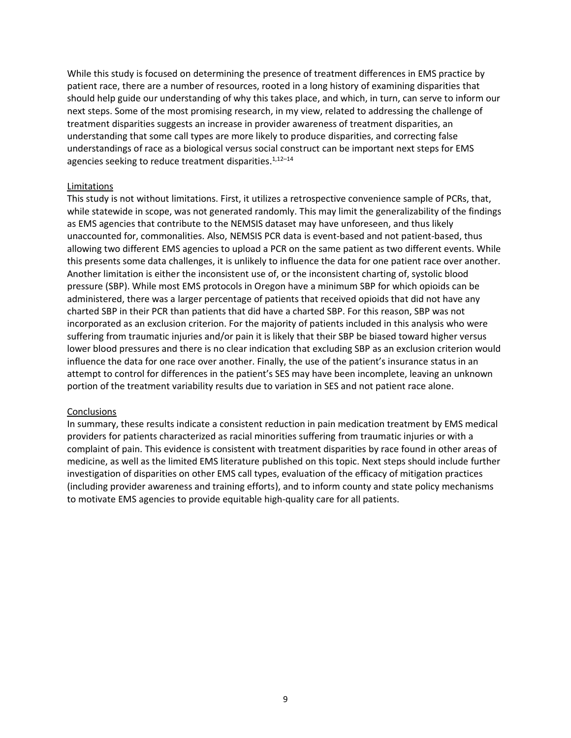While this study is focused on determining the presence of treatment differences in EMS practice by patient race, there are a number of resources, rooted in a long history of examining disparities that should help guide our understanding of why this takes place, and which, in turn, can serve to inform our next steps. Some of the most promising research, in my view, related to addressing the challenge of treatment disparities suggests an increase in provider awareness of treatment disparities, an understanding that some call types are more likely to produce disparities, and correcting false understandings of race as a biological versus social construct can be important next steps for EMS agencies seeking to reduce treatment disparities.<sup>1,12-14</sup>

#### Limitations

This study is not without limitations. First, it utilizes a retrospective convenience sample of PCRs, that, while statewide in scope, was not generated randomly. This may limit the generalizability of the findings as EMS agencies that contribute to the NEMSIS dataset may have unforeseen, and thus likely unaccounted for, commonalities. Also, NEMSIS PCR data is event-based and not patient-based, thus allowing two different EMS agencies to upload a PCR on the same patient as two different events. While this presents some data challenges, it is unlikely to influence the data for one patient race over another. Another limitation is either the inconsistent use of, or the inconsistent charting of, systolic blood pressure (SBP). While most EMS protocols in Oregon have a minimum SBP for which opioids can be administered, there was a larger percentage of patients that received opioids that did not have any charted SBP in their PCR than patients that did have a charted SBP. For this reason, SBP was not incorporated as an exclusion criterion. For the majority of patients included in this analysis who were suffering from traumatic injuries and/or pain it is likely that their SBP be biased toward higher versus lower blood pressures and there is no clear indication that excluding SBP as an exclusion criterion would influence the data for one race over another. Finally, the use of the patient's insurance status in an attempt to control for differences in the patient's SES may have been incomplete, leaving an unknown portion of the treatment variability results due to variation in SES and not patient race alone.

#### **Conclusions**

In summary, these results indicate a consistent reduction in pain medication treatment by EMS medical providers for patients characterized as racial minorities suffering from traumatic injuries or with a complaint of pain. This evidence is consistent with treatment disparities by race found in other areas of medicine, as well as the limited EMS literature published on this topic. Next steps should include further investigation of disparities on other EMS call types, evaluation of the efficacy of mitigation practices (including provider awareness and training efforts), and to inform county and state policy mechanisms to motivate EMS agencies to provide equitable high-quality care for all patients.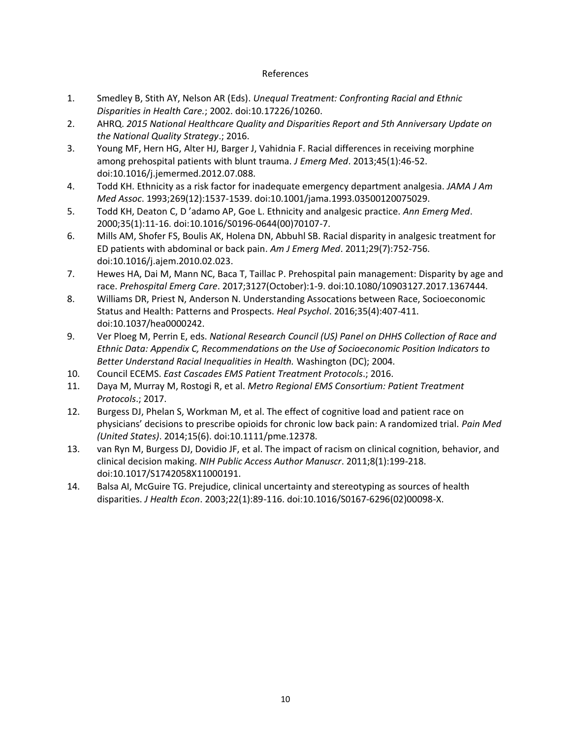### References

- 1. Smedley B, Stith AY, Nelson AR (Eds). *Unequal Treatment: Confronting Racial and Ethnic Disparities in Health Care.*; 2002. doi:10.17226/10260.
- 2. AHRQ. *2015 National Healthcare Quality and Disparities Report and 5th Anniversary Update on the National Quality Strategy*.; 2016.
- 3. Young MF, Hern HG, Alter HJ, Barger J, Vahidnia F. Racial differences in receiving morphine among prehospital patients with blunt trauma. *J Emerg Med*. 2013;45(1):46-52. doi:10.1016/j.jemermed.2012.07.088.
- 4. Todd KH. Ethnicity as a risk factor for inadequate emergency department analgesia. *JAMA J Am Med Assoc*. 1993;269(12):1537-1539. doi:10.1001/jama.1993.03500120075029.
- 5. Todd KH, Deaton C, D 'adamo AP, Goe L. Ethnicity and analgesic practice. *Ann Emerg Med*. 2000;35(1):11-16. doi:10.1016/S0196-0644(00)70107-7.
- 6. Mills AM, Shofer FS, Boulis AK, Holena DN, Abbuhl SB. Racial disparity in analgesic treatment for ED patients with abdominal or back pain. *Am J Emerg Med*. 2011;29(7):752-756. doi:10.1016/j.ajem.2010.02.023.
- 7. Hewes HA, Dai M, Mann NC, Baca T, Taillac P. Prehospital pain management: Disparity by age and race. *Prehospital Emerg Care*. 2017;3127(October):1-9. doi:10.1080/10903127.2017.1367444.
- 8. Williams DR, Priest N, Anderson N. Understanding Assocations between Race, Socioeconomic Status and Health: Patterns and Prospects. *Heal Psychol*. 2016;35(4):407-411. doi:10.1037/hea0000242.
- 9. Ver Ploeg M, Perrin E, eds. *National Research Council (US) Panel on DHHS Collection of Race and Ethnic Data: Appendix C, Recommendations on the Use of Socioeconomic Position Indicators to Better Understand Racial Inequalities in Health.* Washington (DC); 2004.
- 10. Council ECEMS. *East Cascades EMS Patient Treatment Protocols*.; 2016.
- 11. Daya M, Murray M, Rostogi R, et al. *Metro Regional EMS Consortium: Patient Treatment Protocols*.; 2017.
- 12. Burgess DJ, Phelan S, Workman M, et al. The effect of cognitive load and patient race on physicians' decisions to prescribe opioids for chronic low back pain: A randomized trial. *Pain Med (United States)*. 2014;15(6). doi:10.1111/pme.12378.
- 13. van Ryn M, Burgess DJ, Dovidio JF, et al. The impact of racism on clinical cognition, behavior, and clinical decision making. *NIH Public Access Author Manuscr*. 2011;8(1):199-218. doi:10.1017/S1742058X11000191.
- 14. Balsa AI, McGuire TG. Prejudice, clinical uncertainty and stereotyping as sources of health disparities. *J Health Econ*. 2003;22(1):89-116. doi:10.1016/S0167-6296(02)00098-X.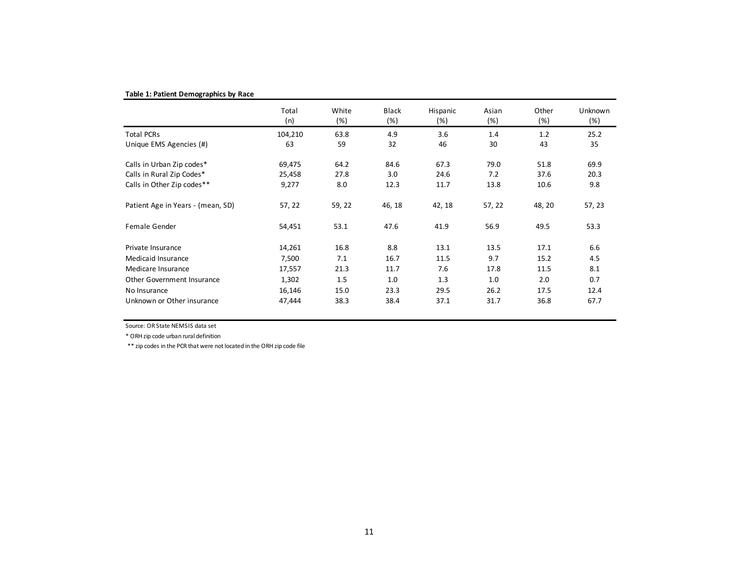#### **Table 1: Patient Demographics by Race**

|                                   | Total<br>(n) | White<br>(%) | <b>Black</b><br>(%) | Hispanic<br>(%) | Asian<br>(%) | Other<br>(%) | <b>Unknown</b><br>(%) |
|-----------------------------------|--------------|--------------|---------------------|-----------------|--------------|--------------|-----------------------|
| <b>Total PCRs</b>                 | 104,210      | 63.8         | 4.9                 | 3.6             | 1.4          | 1.2          | 25.2                  |
| Unique EMS Agencies (#)           | 63           | 59           | 32                  | 46              | 30           | 43           | 35                    |
| Calls in Urban Zip codes*         | 69,475       | 64.2         | 84.6                | 67.3            | 79.0         | 51.8         | 69.9                  |
| Calls in Rural Zip Codes*         | 25,458       | 27.8         | 3.0                 | 24.6            | 7.2          | 37.6         | 20.3                  |
| Calls in Other Zip codes**        | 9,277        | 8.0          | 12.3                | 11.7            | 13.8         | 10.6         | 9.8                   |
| Patient Age in Years - (mean, SD) | 57, 22       | 59, 22       | 46, 18              | 42, 18          | 57, 22       | 48, 20       | 57, 23                |
| Female Gender                     | 54,451       | 53.1         | 47.6                | 41.9            | 56.9         | 49.5         | 53.3                  |
| Private Insurance                 | 14,261       | 16.8         | 8.8                 | 13.1            | 13.5         | 17.1         | 6.6                   |
| Medicaid Insurance                | 7,500        | 7.1          | 16.7                | 11.5            | 9.7          | 15.2         | 4.5                   |
| Medicare Insurance                | 17,557       | 21.3         | 11.7                | 7.6             | 17.8         | 11.5         | 8.1                   |
| Other Government Insurance        | 1,302        | 1.5          | 1.0                 | 1.3             | 1.0          | 2.0          | 0.7                   |
| No Insurance                      | 16,146       | 15.0         | 23.3                | 29.5            | 26.2         | 17.5         | 12.4                  |
| Unknown or Other insurance        | 47,444       | 38.3         | 38.4                | 37.1            | 31.7         | 36.8         | 67.7                  |

Source: OR State NEMSIS data set

\* ORH zip code urban rural definition

\*\* zip codes in the PCR that were not located in the ORH zip code file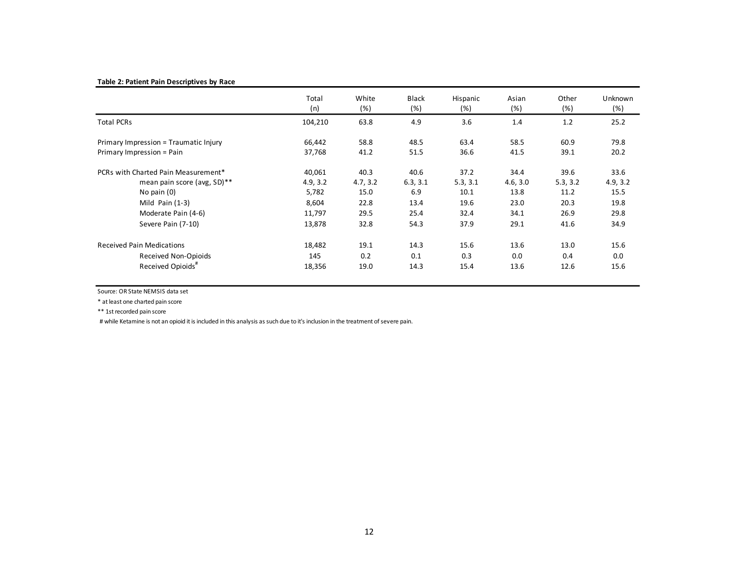#### **Table 2: Patient Pain Descriptives by Race**

|                                       | Total<br>(n) | White<br>(%) | <b>Black</b><br>(%) | Hispanic<br>(%) | Asian<br>(%) | Other<br>(%) | Unknown<br>(%) |
|---------------------------------------|--------------|--------------|---------------------|-----------------|--------------|--------------|----------------|
| <b>Total PCRs</b>                     | 104,210      | 63.8         | 4.9                 | 3.6             | 1.4          | 1.2          | 25.2           |
| Primary Impression = Traumatic Injury | 66,442       | 58.8         | 48.5                | 63.4            | 58.5         | 60.9         | 79.8           |
| Primary Impression = Pain             | 37,768       | 41.2         | 51.5                | 36.6            | 41.5         | 39.1         | 20.2           |
| PCRs with Charted Pain Measurement*   | 40,061       | 40.3         | 40.6                | 37.2            | 34.4         | 39.6         | 33.6           |
| mean pain score (avg, SD)**           | 4.9, 3.2     | 4.7, 3.2     | 6.3, 3.1            | 5.3, 3.1        | 4.6, 3.0     | 5.3, 3.2     | 4.9, 3.2       |
| No pain $(0)$                         | 5,782        | 15.0         | 6.9                 | 10.1            | 13.8         | 11.2         | 15.5           |
| Mild Pain $(1-3)$                     | 8,604        | 22.8         | 13.4                | 19.6            | 23.0         | 20.3         | 19.8           |
| Moderate Pain (4-6)                   | 11,797       | 29.5         | 25.4                | 32.4            | 34.1         | 26.9         | 29.8           |
| Severe Pain (7-10)                    | 13,878       | 32.8         | 54.3                | 37.9            | 29.1         | 41.6         | 34.9           |
| <b>Received Pain Medications</b>      | 18,482       | 19.1         | 14.3                | 15.6            | 13.6         | 13.0         | 15.6           |
| Received Non-Opioids                  | 145          | 0.2          | 0.1                 | 0.3             | 0.0          | 0.4          | 0.0            |
| Received Opioids <sup>#</sup>         | 18,356       | 19.0         | 14.3                | 15.4            | 13.6         | 12.6         | 15.6           |

Source: OR State NEMSIS data set

\* atleast one charted pain score

\*\* 1strecorded pain score

# while Ketamine is not an opioid it is included in this analysis as such due to it's inclusion in the treatment of severe pain.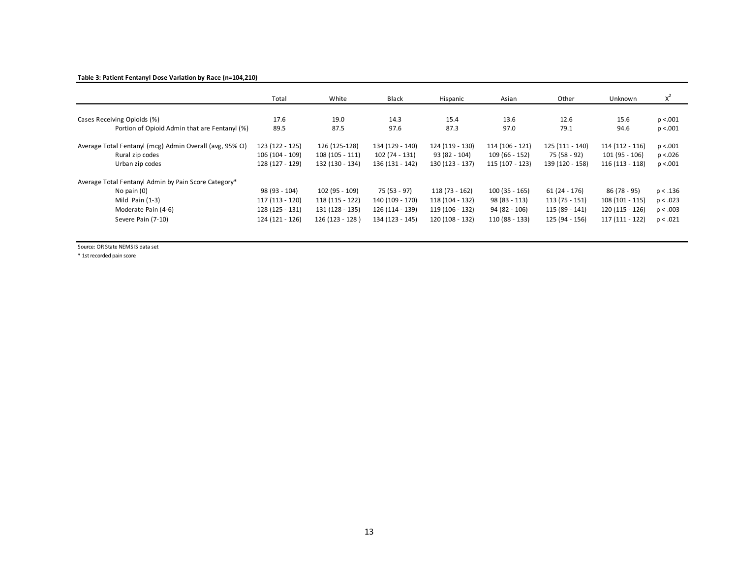#### **Table 3: Patient Fentanyl Dose Variation by Race (n=104,210)**

|                                                          | Total           | White            | <b>Black</b>    | Hispanic        | Asian           | Other           | Unknown          | $X^2$     |
|----------------------------------------------------------|-----------------|------------------|-----------------|-----------------|-----------------|-----------------|------------------|-----------|
|                                                          |                 |                  |                 |                 |                 |                 |                  |           |
| Cases Receiving Opioids (%)                              | 17.6            | 19.0             | 14.3            | 15.4            | 13.6            | 12.6            | 15.6             | p < 0.001 |
| Portion of Opioid Admin that are Fentanyl (%)            | 89.5            | 87.5             | 97.6            | 87.3            | 97.0            | 79.1            | 94.6             | p < 0.001 |
| Average Total Fentanyl (mcg) Admin Overall (avg, 95% CI) | 123 (122 - 125) | 126 (125-128)    | 134 (129 - 140) | 124 (119 - 130) | 114 (106 - 121) | 125 (111 - 140) | 114 (112 - 116)  | p < 0.001 |
| Rural zip codes                                          | 106 (104 - 109) | $108(105 - 111)$ | 102 (74 - 131)  | 93 (82 - 104)   | $109(66 - 152)$ | 75 (58 - 92)    | 101 (95 - 106)   | p < 0.026 |
| Urban zip codes                                          | 128 (127 - 129) | 132 (130 - 134)  | 136 (131 - 142) | 130 (123 - 137) | 115 (107 - 123) | 139 (120 - 158) | $116(113 - 118)$ | p < 0.001 |
| Average Total Fentanyl Admin by Pain Score Category*     |                 |                  |                 |                 |                 |                 |                  |           |
| No pain $(0)$                                            | 98 (93 - 104)   | 102 (95 - 109)   | 75 (53 - 97)    | $118(73 - 162)$ | $100(35 - 165)$ | $61(24 - 176)$  | 86 (78 - 95)     | p < .136  |
| Mild Pain $(1-3)$                                        | 117 (113 - 120) | 118 (115 - 122)  | 140 (109 - 170) | 118 (104 - 132) | $98(83 - 113)$  | $113(75 - 151)$ | $108(101 - 115)$ | p < .023  |
| Moderate Pain (4-6)                                      | 128 (125 - 131) | 131 (128 - 135)  | 126 (114 - 139) | 119 (106 - 132) | 94 (82 - 106)   | 115 (89 - 141)  | 120 (115 - 126)  | p < .003  |
| Severe Pain (7-10)                                       | 124 (121 - 126) | 126 (123 - 128)  | 134 (123 - 145) | 120 (108 - 132) | 110 (88 - 133)  | 125 (94 - 156)  | 117 (111 - 122)  | p < .021  |
|                                                          |                 |                  |                 |                 |                 |                 |                  |           |

Source: OR State NEMSIS data set

\* 1strecorded pain score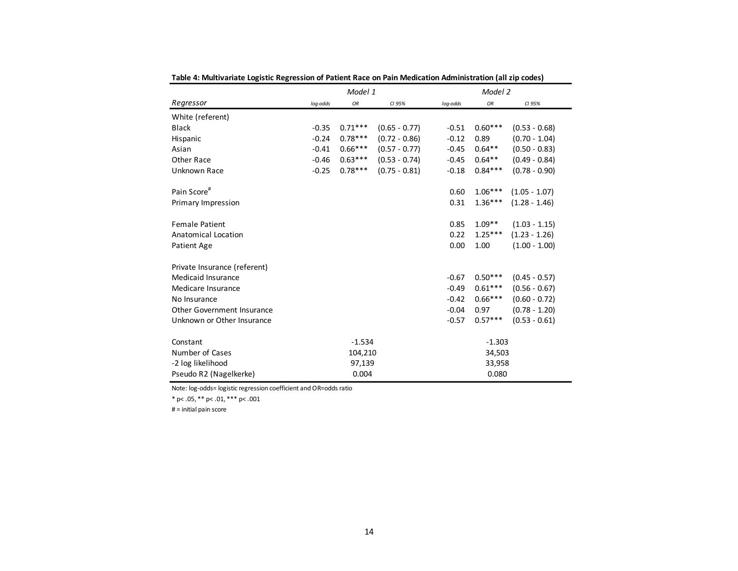| abic 4. mailiveriale cogistic negression or ration, nace on rain mealcation Administration (an zip codes) |          |           |                 |          |           |                 |  |  |  |
|-----------------------------------------------------------------------------------------------------------|----------|-----------|-----------------|----------|-----------|-----------------|--|--|--|
|                                                                                                           |          | Model 1   |                 |          | Model 2   |                 |  |  |  |
| Regressor                                                                                                 | log-odds | OR        | CI 95%          | log-odds | OR        | CI 95%          |  |  |  |
| White (referent)                                                                                          |          |           |                 |          |           |                 |  |  |  |
| <b>Black</b>                                                                                              | $-0.35$  | $0.71***$ | $(0.65 - 0.77)$ | $-0.51$  | $0.60***$ | $(0.53 - 0.68)$ |  |  |  |
| Hispanic                                                                                                  | $-0.24$  | $0.78***$ | $(0.72 - 0.86)$ | $-0.12$  | 0.89      | $(0.70 - 1.04)$ |  |  |  |
| Asian                                                                                                     | $-0.41$  | $0.66***$ | $(0.57 - 0.77)$ | $-0.45$  | $0.64**$  | $(0.50 - 0.83)$ |  |  |  |
| Other Race                                                                                                | $-0.46$  | $0.63***$ | $(0.53 - 0.74)$ | $-0.45$  | $0.64**$  | $(0.49 - 0.84)$ |  |  |  |
| Unknown Race                                                                                              | $-0.25$  | $0.78***$ | $(0.75 - 0.81)$ | $-0.18$  | $0.84***$ | $(0.78 - 0.90)$ |  |  |  |
| Pain Score#                                                                                               |          |           |                 | 0.60     | $1.06***$ | $(1.05 - 1.07)$ |  |  |  |
| Primary Impression                                                                                        |          |           |                 | 0.31     | $1.36***$ | $(1.28 - 1.46)$ |  |  |  |
| <b>Female Patient</b>                                                                                     |          |           |                 | 0.85     | $1.09**$  | $(1.03 - 1.15)$ |  |  |  |
| Anatomical Location                                                                                       |          |           |                 | 0.22     | $1.25***$ | $(1.23 - 1.26)$ |  |  |  |
| Patient Age                                                                                               |          |           |                 | 0.00     | 1.00      | $(1.00 - 1.00)$ |  |  |  |
| Private Insurance (referent)                                                                              |          |           |                 |          |           |                 |  |  |  |
| Medicaid Insurance                                                                                        |          |           |                 | $-0.67$  | $0.50***$ | $(0.45 - 0.57)$ |  |  |  |
| Medicare Insurance                                                                                        |          |           |                 | $-0.49$  | $0.61***$ | $(0.56 - 0.67)$ |  |  |  |
| No Insurance                                                                                              |          |           |                 | $-0.42$  | $0.66***$ | $(0.60 - 0.72)$ |  |  |  |
| Other Government Insurance                                                                                |          |           |                 | $-0.04$  | 0.97      | $(0.78 - 1.20)$ |  |  |  |
| Unknown or Other Insurance                                                                                |          |           |                 | $-0.57$  | $0.57***$ | $(0.53 - 0.61)$ |  |  |  |
| Constant                                                                                                  |          | $-1.534$  |                 |          | $-1.303$  |                 |  |  |  |
| Number of Cases                                                                                           |          | 104,210   |                 |          | 34,503    |                 |  |  |  |
| -2 log likelihood                                                                                         |          | 97,139    |                 |          | 33,958    |                 |  |  |  |
| Pseudo R2 (Nagelkerke)                                                                                    |          | 0.004     |                 |          | 0.080     |                 |  |  |  |

**Table 4: Multivariate Logistic Regression of Patient Race on Pain Medication Administration (all zip codes)**

Note: log-odds= logistic regression coefficient and OR=odds ratio

\* p< .05, \*\* p< .01, \*\*\* p< .001

# <sup>=</sup> initial pain score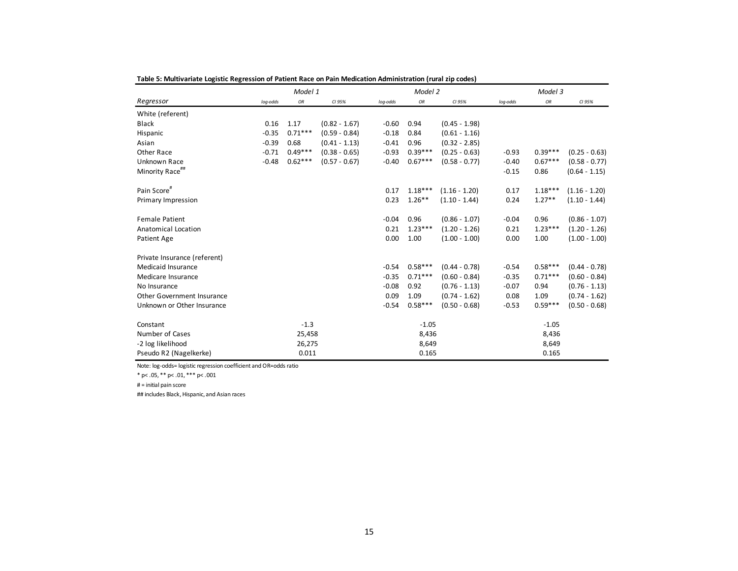|                              |          | Model 1   |                 |          | Model 2   |                 |          | Model 3   |                 |
|------------------------------|----------|-----------|-----------------|----------|-----------|-----------------|----------|-----------|-----------------|
| Regressor                    | log-odds | OR        | CI 95%          | log-odds | OR        | CI 95%          | log-odds | OR        | CI 95%          |
| White (referent)             |          |           |                 |          |           |                 |          |           |                 |
| <b>Black</b>                 | 0.16     | 1.17      | $(0.82 - 1.67)$ | $-0.60$  | 0.94      | $(0.45 - 1.98)$ |          |           |                 |
| Hispanic                     | $-0.35$  | $0.71***$ | $(0.59 - 0.84)$ | $-0.18$  | 0.84      | $(0.61 - 1.16)$ |          |           |                 |
| Asian                        | $-0.39$  | 0.68      | $(0.41 - 1.13)$ | $-0.41$  | 0.96      | $(0.32 - 2.85)$ |          |           |                 |
| Other Race                   | $-0.71$  | $0.49***$ | $(0.38 - 0.65)$ | $-0.93$  | $0.39***$ | $(0.25 - 0.63)$ | $-0.93$  | $0.39***$ | $(0.25 - 0.63)$ |
| Unknown Race                 | $-0.48$  | $0.62***$ | $(0.57 - 0.67)$ | $-0.40$  | $0.67***$ | $(0.58 - 0.77)$ | $-0.40$  | $0.67***$ | $(0.58 - 0.77)$ |
| Minority Race <sup>##</sup>  |          |           |                 |          |           |                 | $-0.15$  | 0.86      | $(0.64 - 1.15)$ |
| Pain Score#                  |          |           |                 | 0.17     | $1.18***$ | $(1.16 - 1.20)$ | 0.17     | $1.18***$ | $(1.16 - 1.20)$ |
| Primary Impression           |          |           |                 | 0.23     | $1.26**$  | $(1.10 - 1.44)$ | 0.24     | $1.27**$  | $(1.10 - 1.44)$ |
| <b>Female Patient</b>        |          |           |                 | $-0.04$  | 0.96      | $(0.86 - 1.07)$ | $-0.04$  | 0.96      | $(0.86 - 1.07)$ |
| Anatomical Location          |          |           |                 | 0.21     | $1.23***$ | $(1.20 - 1.26)$ | 0.21     | $1.23***$ | $(1.20 - 1.26)$ |
| Patient Age                  |          |           |                 | 0.00     | 1.00      | $(1.00 - 1.00)$ | 0.00     | 1.00      | $(1.00 - 1.00)$ |
| Private Insurance (referent) |          |           |                 |          |           |                 |          |           |                 |
| Medicaid Insurance           |          |           |                 | $-0.54$  | $0.58***$ | $(0.44 - 0.78)$ | $-0.54$  | $0.58***$ | $(0.44 - 0.78)$ |
| Medicare Insurance           |          |           |                 | $-0.35$  | $0.71***$ | $(0.60 - 0.84)$ | $-0.35$  | $0.71***$ | $(0.60 - 0.84)$ |
| No Insurance                 |          |           |                 | $-0.08$  | 0.92      | $(0.76 - 1.13)$ | $-0.07$  | 0.94      | $(0.76 - 1.13)$ |
| Other Government Insurance   |          |           |                 | 0.09     | 1.09      | $(0.74 - 1.62)$ | 0.08     | 1.09      | $(0.74 - 1.62)$ |
| Unknown or Other Insurance   |          |           |                 | $-0.54$  | $0.58***$ | $(0.50 - 0.68)$ | $-0.53$  | $0.59***$ | $(0.50 - 0.68)$ |
| Constant                     |          | $-1.3$    |                 |          | $-1.05$   |                 |          | $-1.05$   |                 |
| Number of Cases              |          | 25,458    |                 |          | 8,436     |                 |          | 8,436     |                 |
| -2 log likelihood            |          | 26,275    |                 |          | 8,649     |                 |          | 8,649     |                 |
| Pseudo R2 (Nagelkerke)       |          | 0.011     |                 |          | 0.165     |                 |          | 0.165     |                 |

**Table 5: Multivariate Logistic Regression of Patient Race on Pain Medication Administration (rural zip codes)**

Note: log-odds= logistic regression coefficient and OR=odds ratio

\* p< .05, \*\* p< .01, \*\*\* p< .001

# <sup>=</sup> initial pain score

## includes Black, Hispanic, and Asian races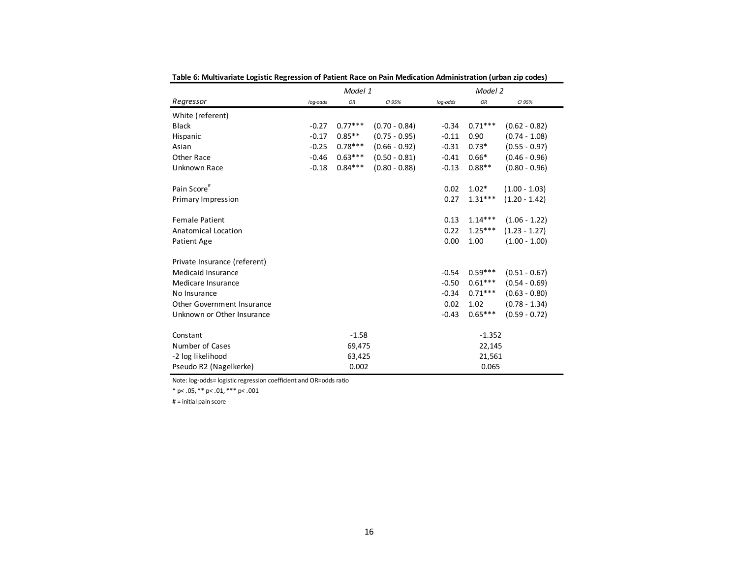| rabic of multivariate cogistic Regression or Fatient Race on Fain incuication Administration (diban zip codes) |          | Model 1   |                 |          | Model 2   |                 |  |
|----------------------------------------------------------------------------------------------------------------|----------|-----------|-----------------|----------|-----------|-----------------|--|
| Regressor                                                                                                      | log-odds | OR        | CI 95%          | log-odds | OR        | CI 95%          |  |
| White (referent)                                                                                               |          |           |                 |          |           |                 |  |
| <b>Black</b>                                                                                                   | $-0.27$  | $0.77***$ | $(0.70 - 0.84)$ | $-0.34$  | $0.71***$ | $(0.62 - 0.82)$ |  |
| Hispanic                                                                                                       | $-0.17$  | $0.85***$ | $(0.75 - 0.95)$ | $-0.11$  | 0.90      | $(0.74 - 1.08)$ |  |
| Asian                                                                                                          | $-0.25$  | $0.78***$ | $(0.66 - 0.92)$ | $-0.31$  | $0.73*$   | $(0.55 - 0.97)$ |  |
| Other Race                                                                                                     | $-0.46$  | $0.63***$ | $(0.50 - 0.81)$ | $-0.41$  | $0.66*$   | $(0.46 - 0.96)$ |  |
| Unknown Race                                                                                                   | $-0.18$  | $0.84***$ | $(0.80 - 0.88)$ | $-0.13$  | $0.88**$  | $(0.80 - 0.96)$ |  |
| Pain Score#                                                                                                    |          |           |                 | 0.02     | $1.02*$   | $(1.00 - 1.03)$ |  |
| Primary Impression                                                                                             |          |           |                 | 0.27     | $1.31***$ | $(1.20 - 1.42)$ |  |
| <b>Female Patient</b>                                                                                          |          |           |                 | 0.13     | $1.14***$ | $(1.06 - 1.22)$ |  |
| <b>Anatomical Location</b>                                                                                     |          |           |                 | 0.22     | $1.25***$ | $(1.23 - 1.27)$ |  |
| Patient Age                                                                                                    |          |           |                 | 0.00     | 1.00      | $(1.00 - 1.00)$ |  |
| Private Insurance (referent)                                                                                   |          |           |                 |          |           |                 |  |
| Medicaid Insurance                                                                                             |          |           |                 | $-0.54$  | $0.59***$ | $(0.51 - 0.67)$ |  |
| Medicare Insurance                                                                                             |          |           |                 | $-0.50$  | $0.61***$ | $(0.54 - 0.69)$ |  |
| No Insurance                                                                                                   |          |           |                 | $-0.34$  | $0.71***$ | $(0.63 - 0.80)$ |  |
| Other Government Insurance                                                                                     |          |           |                 | 0.02     | 1.02      | $(0.78 - 1.34)$ |  |
| Unknown or Other Insurance                                                                                     |          |           |                 | $-0.43$  | $0.65***$ | $(0.59 - 0.72)$ |  |
| Constant                                                                                                       |          | $-1.58$   |                 |          | $-1.352$  |                 |  |
| Number of Cases                                                                                                |          | 69,475    |                 |          | 22,145    |                 |  |
| -2 log likelihood                                                                                              |          | 63,425    |                 |          | 21,561    |                 |  |
| Pseudo R2 (Nagelkerke)                                                                                         |          | 0.002     |                 |          | 0.065     |                 |  |

**Table 6: Multivariate Logistic Regression of Patient Race on Pain Medication Administration (urban zip codes)**

Note: log-odds= logistic regression coefficient and OR=odds ratio

 $*$  p < .05,  $*$  \* p < .01,  $*$  \* \* p < .001

# = initial pain score